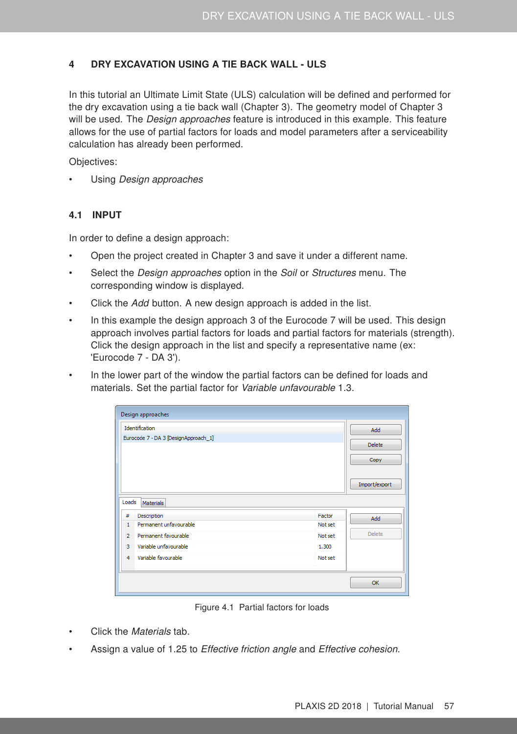## <span id="page-0-0"></span>4 DRY EXCAVATION USING A TIE BACK WALL - ULS

In this tutorial an Ultimate Limit State (ULS) calculation will be defined and performed for the dry excavation using a tie back wall (Chapter [3\)](#page--1-0). The geometry model of Chapter [3](#page--1-0) will be used. The *Design approaches* feature is introduced in this example. This feature allows for the use of partial factors for loads and model parameters after a serviceability calculation has already been performed.

Objectives:

Using *Design approaches* 

## 4.1 INPUT

In order to define a design approach:

- Open the project created in Chapter [3](#page--1-0) and save it under a different name.
- Select the *Design approaches* option in the *Soil* or *Structures* menu. The corresponding window is displayed.
- Click the Add button. A new design approach is added in the list.
- In this example the design approach 3 of the Eurocode 7 will be used. This design approach involves partial factors for loads and partial factors for materials (strength). Click the design approach in the list and specify a representative name (ex: 'Eurocode 7 - DA 3').
- In the lower part of the window the partial factors can be defined for loads and materials. Set the partial factor for Variable unfavourable 1.3.

|                | Design approaches                    |         |                                        |
|----------------|--------------------------------------|---------|----------------------------------------|
| Identification |                                      |         | Add                                    |
|                | Eurocode 7 - DA 3 [DesignApproach_1] |         | <b>Delete</b><br>Copy<br>Import/export |
| Loads          | <b>Materials</b>                     |         |                                        |
| #              | Description                          | Factor  | Add                                    |
| $\mathbf{1}$   | Permanent unfavourable               | Not set |                                        |
| $\overline{2}$ | Permanent favourable                 | Not set | <b>Delete</b>                          |
| 3              | Variable unfavourable                | 1.300   |                                        |
| 4              | Variable favourable                  | Not set |                                        |
|                |                                      |         | OK                                     |

Figure 4.1 Partial factors for loads

- Click the Materials tab.
- Assign a value of 1.25 to Effective friction angle and Effective cohesion.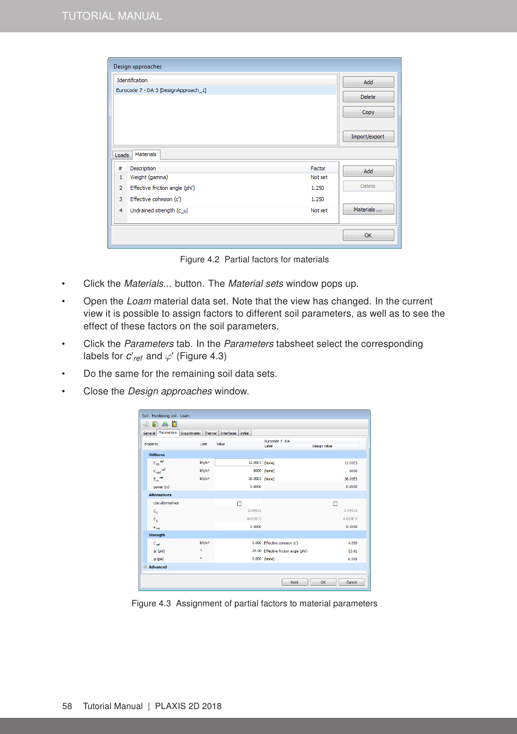|                                                   | Identification |               |  |
|---------------------------------------------------|----------------|---------------|--|
| Eurocode 7 - DA 3 [DesignApproach_1]              |                |               |  |
|                                                   |                | <b>Delete</b> |  |
|                                                   |                | Copy          |  |
|                                                   |                |               |  |
|                                                   |                | Import/export |  |
|                                                   |                |               |  |
| Materials<br>Loads                                |                |               |  |
| #<br>Description                                  | Factor         | Add           |  |
| Weight (gamma)<br>$\mathbf{1}$                    | Not set        |               |  |
| Effective friction angle (phi')<br>$\overline{2}$ | 1.250          | <b>Delete</b> |  |
| 3<br>Effective cohesion (c')                      | 1.250          |               |  |
|                                                   | Not set        | Materials     |  |
| Undrained strength (c_u)<br>$\overline{4}$        |                |               |  |

Figure 4.2 Partial factors for materials

- Click the Materials... button. The Material sets window pops up.
- Open the Loam material data set. Note that the view has changed. In the current view it is possible to assign factors to different soil parameters, as well as to see the effect of these factors on the soil parameters.
- Click the Parameters tab. In the Parameters tabsheet select the corresponding labels for  $c'_{ref}$  and  $\varphi'$  (Figure [4.3\)](#page-1-0)
- Do the same for the remaining soil data sets.
- Close the *Design approaches* window.

| General Parameters Groundwater Thermal Interfaces Initial |                   |                    |                                       |              |
|-----------------------------------------------------------|-------------------|--------------------|---------------------------------------|--------------|
| Property                                                  | <b>Unit</b>       | Value              | Eurocode 7 - DA<br>Label              | Design value |
| <b>Stiffness</b>                                          |                   |                    |                                       |              |
| $E_{50}$ ref                                              | kN/m <sup>2</sup> | 12.00E3 (None)<br> |                                       | 12.00E3      |
| E <sub>oed</sub> <sup>ref</sup>                           | kN/m <sup>2</sup> |                    | 8000 (None)                           | 8000         |
| $E_{\text{ur}}$ ref                                       | kN/m <sup>2</sup> | 36.00E3 (None)     |                                       | 36,00E3      |
| power (m)                                                 |                   | 0.8000             |                                       | 0.8000       |
| <b>Alternatives</b>                                       |                   |                    |                                       |              |
| Use alternatives                                          |                   |                    |                                       |              |
| $\mathbf{c}_e$                                            |                   | 0.04312            |                                       | 0.04312      |
| $C_{\rm g}$                                               |                   | 8.625E-3           |                                       | 8.625E-3     |
| e <sub>init</sub>                                         |                   | 0.5000             |                                       | 0.5000       |
| <b>Strength</b>                                           |                   |                    |                                       |              |
| $c_{\rm ref}$                                             | kN/m <sup>2</sup> |                    | 5.000 Effective cohesion (c')         | 4.000        |
| $\phi'$ (phi)                                             | ۰                 |                    | 29.00 Effective friction angle (phi') | 23.91        |
| $w$ (psi)                                                 | ۰                 |                    | 0.000 (None)                          | 0.000        |
| Advanced                                                  |                   |                    |                                       |              |

<span id="page-1-0"></span>Figure 4.3 Assignment of partial factors to material parameters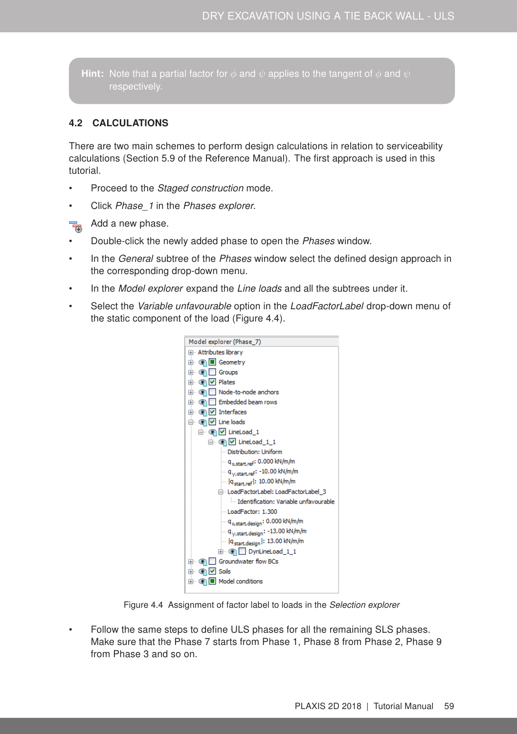Hint: Note that a partial factor for  $\phi$  and  $\psi$  applies to the tangent of  $\phi$  and  $\psi$ respectively.

## 4.2 CALCULATIONS

There are two main schemes to perform design calculations in relation to serviceability calculations (Section 5.9 of the [Reference Manual\)](#page-0-0). The first approach is used in this tutorial.

- Proceed to the Staged construction mode.
- Click Phase 1 in the Phases explorer.
- $\overline{\mathbf{e}}$ Add a new phase.
- Double-click the newly added phase to open the Phases window.
- In the *General* subtree of the *Phases* window select the defined design approach in the corresponding drop-down menu.
- In the Model explorer expand the Line loads and all the subtrees under it.
- Select the Variable unfavourable option in the LoadFactorLabel drop-down menu of the static component of the load (Figure [4.4\)](#page-2-0).



Figure 4.4 Assignment of factor label to loads in the Selection explorer

<span id="page-2-0"></span>• Follow the same steps to define ULS phases for all the remaining SLS phases. Make sure that the Phase 7 starts from Phase 1, Phase 8 from Phase 2, Phase 9 from Phase 3 and so on.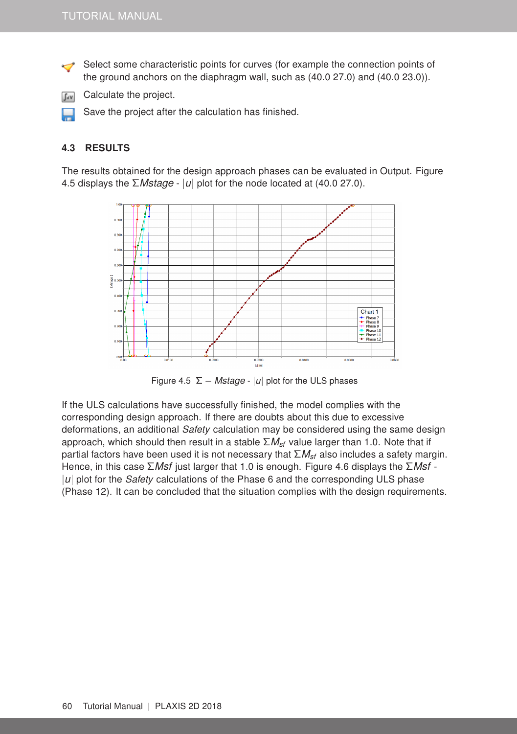Select some characteristic points for curves (for example the connection points of the ground anchors on the diaphragm wall, such as (40.0 27.0) and (40.0 23.0)).



Save the project after the calculation has finished.

## 4.3 RESULTS

The results obtained for the design approach phases can be evaluated in Output. Figure [4.5](#page-3-0) displays the Σ*Mstage* - |*u*| plot for the node located at (40.0 27.0).



<span id="page-3-0"></span>Figure 4.5  $\Sigma$  – *Mstage* - |*u*| plot for the ULS phases

If the ULS calculations have successfully finished, the model complies with the corresponding design approach. If there are doubts about this due to excessive deformations, an additional Safety calculation may be considered using the same design approach, which should then result in a stable Σ*Msf* value larger than 1.0. Note that if partial factors have been used it is not necessary that Σ*Msf* also includes a safety margin. Hence, in this case Σ*Msf* just larger that 1.0 is enough. Figure [4.6](#page-4-0) displays the Σ*Msf* - |*u*| plot for the *Safety* calculations of the Phase 6 and the corresponding ULS phase (Phase 12). It can be concluded that the situation complies with the design requirements.